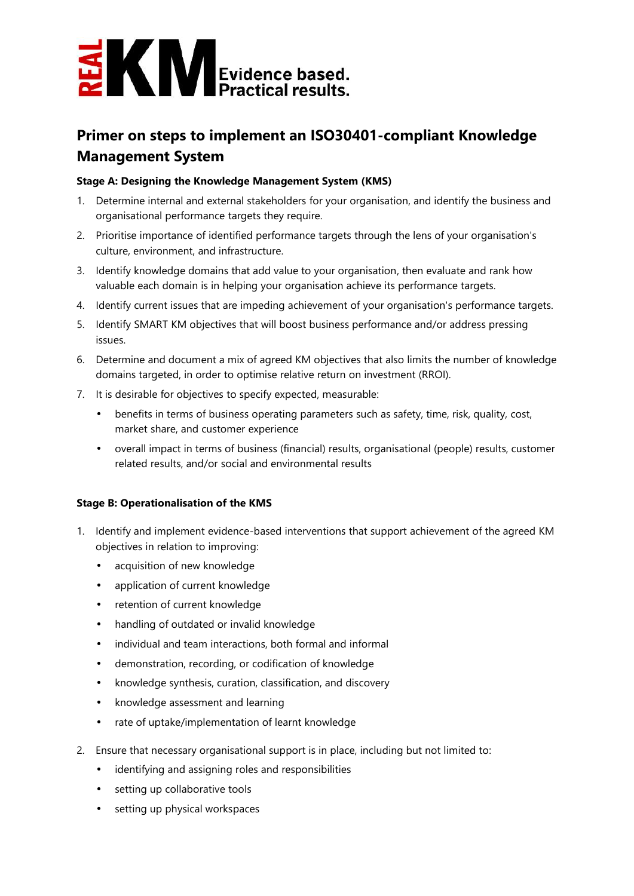

## **Primer on steps to implement an ISO30401-compliant Knowledge Management System**

## **Stage A: Designing the Knowledge Management System (KMS)**

- 1. Determine internal and external stakeholders for your organisation, and identify the business and organisational performance targets they require.
- 2. Prioritise importance of identified performance targets through the lens of your organisation's culture, environment, and infrastructure.
- 3. Identify knowledge domains that add value to your organisation, then evaluate and rank how valuable each domain is in helping your organisation achieve its performance targets.
- 4. Identify current issues that are impeding achievement of your organisation's performance targets.
- 5. Identify SMART KM objectives that will boost business performance and/or address pressing issues.
- 6. Determine and document a mix of agreed KM objectives that also limits the number of knowledge domains targeted, in order to optimise relative return on investment (RROI).
- 7. It is desirable for objectives to specify expected, measurable:
	- benefits in terms of business operating parameters such as safety, time, risk, quality, cost, market share, and customer experience
	- overall impact in terms of business (financial) results, organisational (people) results, customer related results, and/or social and environmental results

## **Stage B: Operationalisation of the KMS**

- 1. Identify and implement evidence-based interventions that support achievement of the agreed KM objectives in relation to improving:
	- acquisition of new knowledge
	- application of current knowledge
	- retention of current knowledge
	- handling of outdated or invalid knowledge
	- individual and team interactions, both formal and informal
	- demonstration, recording, or codification of knowledge
	- knowledge synthesis, curation, classification, and discovery
	- knowledge assessment and learning
	- rate of uptake/implementation of learnt knowledge
- 2. Ensure that necessary organisational support is in place, including but not limited to:
	- identifying and assigning roles and responsibilities
	- setting up collaborative tools
	- setting up physical workspaces